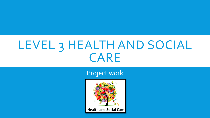## LEVEL 3 HEALTH AND SOCIAL CARE

Project work

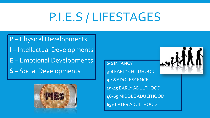# P.I.E.S / LIFESTAGES

**P** – Physical Developments **I** – Intellectual Developments **E** – Emotional Developments **S** – Social Developments



**0-2** INFANCY **3-8** EARLY CHILDHOOD **9-18** ADOLESCENCE **19-45** EARLY ADULTHOOD **46-65** MIDDLE ADULTHOOD **65+** LATER ADULTHOOD

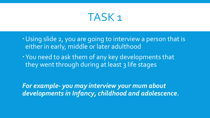### TASK 1

- Using slide 2, you are going to interview a person that is either in early, middle or later adulthood
- You need to ask them of any key developments that they went through during at least 3 life stages

*For example- you may interview your mum about developments in Infancy, childhood and adolescence.*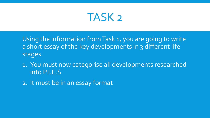

Using the information from Task 1, you are going to write a short essay of the key developments in 3 different life stages.

- 1. You must now categorise all developments researched into P.I.E.S
- 2. It must be in an essay format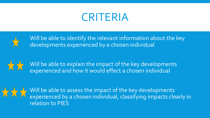## CRITERIA



Will be able to identify the relevant information about the key developments experienced by a chosen individual

Will be able to explain the impact of the key developments experienced and how it would effect a chosen individual



Will be able to assess the impact of the key developments experienced by a chosen individual, classifying impacts clearly in relation to PIES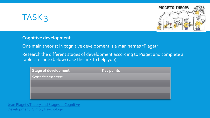



#### **Cognitive development**

One main theorist in cognitive development is a man names "Piaget"

Research the different stages of development according to Piaget and complete a table similar to below: (Use the link to help you)

| $\mid$ Stage of development $\mid$ | <b>Key points</b> |
|------------------------------------|-------------------|
| Sensorimotor stage                 |                   |
|                                    |                   |
|                                    |                   |
|                                    |                   |